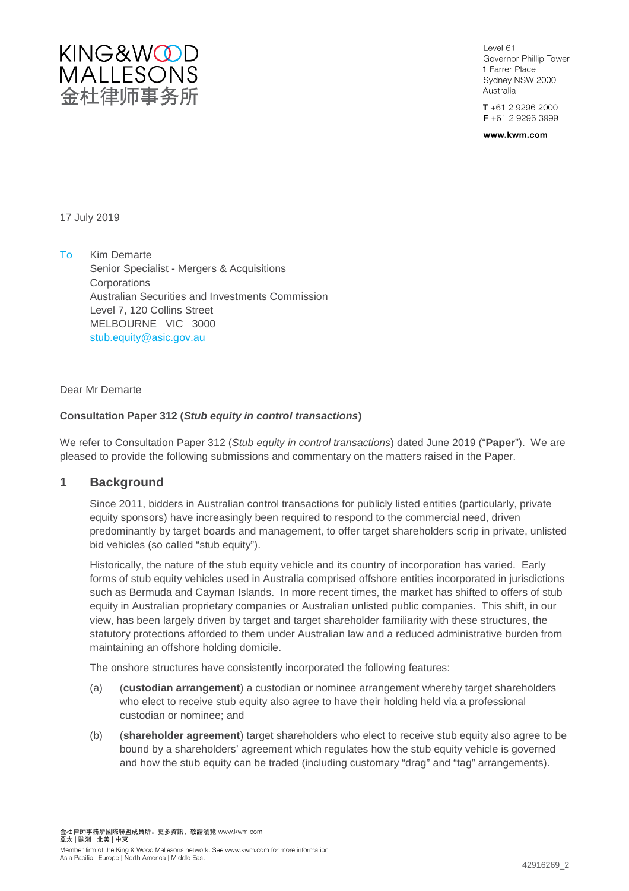

 $A$   $\approx$   $A$ Governor Phillip Tower 1 Farrer Place Sydney NSW 2000 Australia

 $T + 61292962000$  $F + 61 2 9296 3999$ 

www.kwm.com

17 July 2019

To Kim Demarte Senior Specialist - Mergers & Acquisitions **Corporations** Australian Securities and Investments Commission Level 7, 120 Collins Street MELBOURNE VIC 3000 stub.equity@asic.gov.au

Dear Mr Demarte

## **Consultation Paper 312 (***Stub equity in control transactions***)**

We refer to Consultation Paper 312 (*Stub equity in control transactions*) dated June 2019 ("**Paper**"). We are pleased to provide the following submissions and commentary on the matters raised in the Paper.

# **1 Background**

Since 2011, bidders in Australian control transactions for publicly listed entities (particularly, private equity sponsors) have increasingly been required to respond to the commercial need, driven predominantly by target boards and management, to offer target shareholders scrip in private, unlisted bid vehicles (so called "stub equity").

Historically, the nature of the stub equity vehicle and its country of incorporation has varied. Early forms of stub equity vehicles used in Australia comprised offshore entities incorporated in jurisdictions such as Bermuda and Cayman Islands. In more recent times, the market has shifted to offers of stub equity in Australian proprietary companies or Australian unlisted public companies. This shift, in our view, has been largely driven by target and target shareholder familiarity with these structures, the statutory protections afforded to them under Australian law and a reduced administrative burden from maintaining an offshore holding domicile.

The onshore structures have consistently incorporated the following features:

- (a) (**custodian arrangement**) a custodian or nominee arrangement whereby target shareholders who elect to receive stub equity also agree to have their holding held via a professional custodian or nominee; and
- (b) (**shareholder agreement**) target shareholders who elect to receive stub equity also agree to be bound by a shareholders' agreement which regulates how the stub equity vehicle is governed and how the stub equity can be traded (including customary "drag" and "tag" arrangements).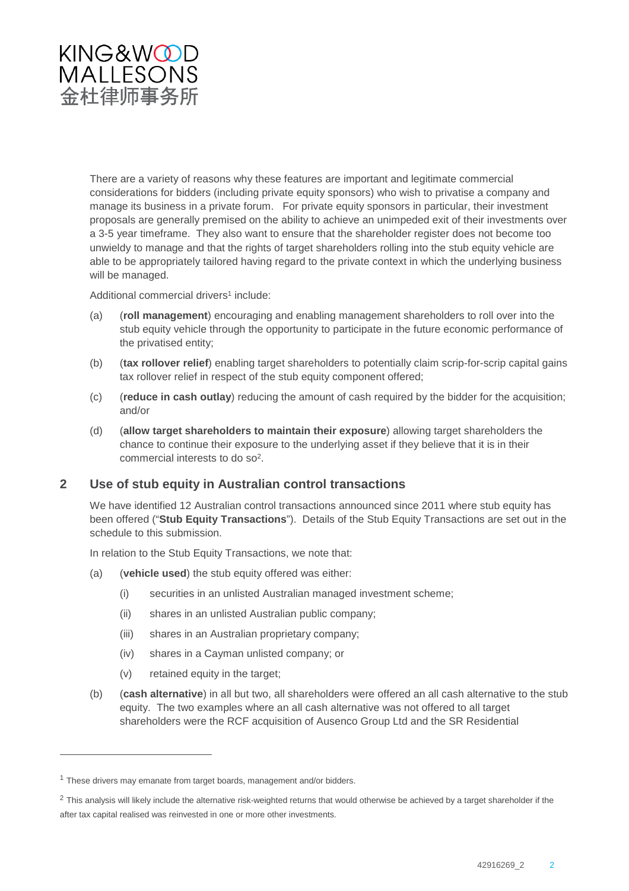

There are a variety of reasons why these features are important and legitimate commercial considerations for bidders (including private equity sponsors) who wish to privatise a company and manage its business in a private forum. For private equity sponsors in particular, their investment proposals are generally premised on the ability to achieve an unimpeded exit of their investments over a 3-5 year timeframe. They also want to ensure that the shareholder register does not become too unwieldy to manage and that the rights of target shareholders rolling into the stub equity vehicle are able to be appropriately tailored having regard to the private context in which the underlying business will be managed.

Additional commercial drivers<sup>1</sup> include:

- (a) (**roll management**) encouraging and enabling management shareholders to roll over into the stub equity vehicle through the opportunity to participate in the future economic performance of the privatised entity;
- (b) (**tax rollover relief**) enabling target shareholders to potentially claim scrip-for-scrip capital gains tax rollover relief in respect of the stub equity component offered;
- (c) (**reduce in cash outlay**) reducing the amount of cash required by the bidder for the acquisition; and/or
- (d) (**allow target shareholders to maintain their exposure**) allowing target shareholders the chance to continue their exposure to the underlying asset if they believe that it is in their commercial interests to do so2.

# **2 Use of stub equity in Australian control transactions**

We have identified 12 Australian control transactions announced since 2011 where stub equity has been offered ("**Stub Equity Transactions**"). Details of the Stub Equity Transactions are set out in the schedule to this submission.

In relation to the Stub Equity Transactions, we note that:

- (a) (**vehicle used**) the stub equity offered was either:
	- (i) securities in an unlisted Australian managed investment scheme;
	- (ii) shares in an unlisted Australian public company;
	- (iii) shares in an Australian proprietary company;
	- (iv) shares in a Cayman unlisted company; or
	- (v) retained equity in the target;
- (b) (**cash alternative**) in all but two, all shareholders were offered an all cash alternative to the stub equity. The two examples where an all cash alternative was not offered to all target shareholders were the RCF acquisition of Ausenco Group Ltd and the SR Residential

 $1$  These drivers may emanate from target boards, management and/or bidders.

<sup>&</sup>lt;sup>2</sup> This analysis will likely include the alternative risk-weighted returns that would otherwise be achieved by a target shareholder if the after tax capital realised was reinvested in one or more other investments.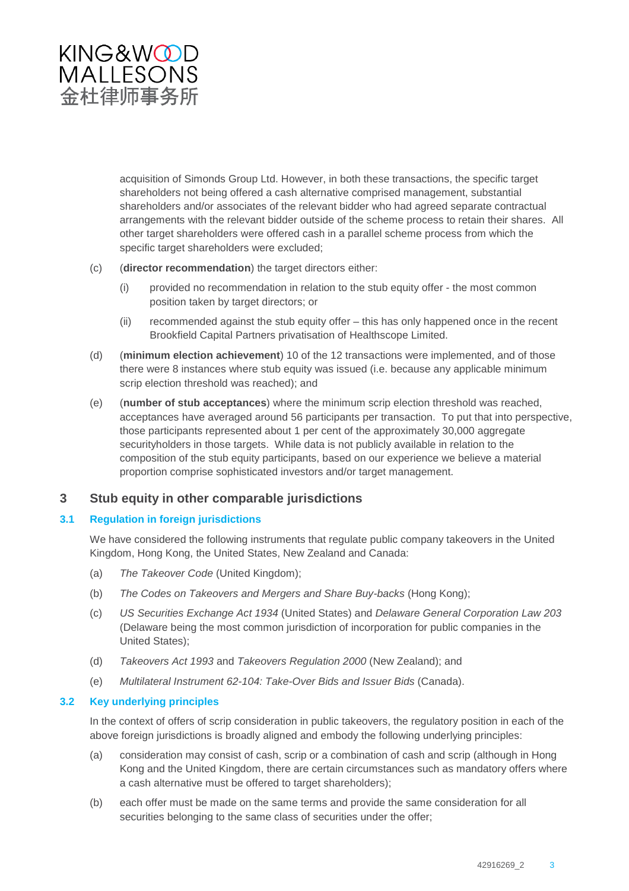

acquisition of Simonds Group Ltd. However, in both these transactions, the specific target shareholders not being offered a cash alternative comprised management, substantial shareholders and/or associates of the relevant bidder who had agreed separate contractual arrangements with the relevant bidder outside of the scheme process to retain their shares. All other target shareholders were offered cash in a parallel scheme process from which the specific target shareholders were excluded;

- (c) (**director recommendation**) the target directors either:
	- (i) provided no recommendation in relation to the stub equity offer the most common position taken by target directors; or
	- (ii) recommended against the stub equity offer this has only happened once in the recent Brookfield Capital Partners privatisation of Healthscope Limited.
- (d) (**minimum election achievement**) 10 of the 12 transactions were implemented, and of those there were 8 instances where stub equity was issued (i.e. because any applicable minimum scrip election threshold was reached); and
- (e) (**number of stub acceptances**) where the minimum scrip election threshold was reached, acceptances have averaged around 56 participants per transaction. To put that into perspective, those participants represented about 1 per cent of the approximately 30,000 aggregate securityholders in those targets. While data is not publicly available in relation to the composition of the stub equity participants, based on our experience we believe a material proportion comprise sophisticated investors and/or target management.

# **3 Stub equity in other comparable jurisdictions**

## **3.1 Regulation in foreign jurisdictions**

We have considered the following instruments that regulate public company takeovers in the United Kingdom, Hong Kong, the United States, New Zealand and Canada:

- (a) *The Takeover Code* (United Kingdom);
- (b) *The Codes on Takeovers and Mergers and Share Buy-backs* (Hong Kong);
- (c) *US Securities Exchange Act 1934* (United States) and *Delaware General Corporation Law 203*  (Delaware being the most common jurisdiction of incorporation for public companies in the United States);
- (d) *Takeovers Act 1993* and *Takeovers Regulation 2000* (New Zealand); and
- (e) *Multilateral Instrument 62-104: Take-Over Bids and Issuer Bids* (Canada).

# **3.2 Key underlying principles**

In the context of offers of scrip consideration in public takeovers, the regulatory position in each of the above foreign jurisdictions is broadly aligned and embody the following underlying principles:

- (a) consideration may consist of cash, scrip or a combination of cash and scrip (although in Hong Kong and the United Kingdom, there are certain circumstances such as mandatory offers where a cash alternative must be offered to target shareholders);
- (b) each offer must be made on the same terms and provide the same consideration for all securities belonging to the same class of securities under the offer;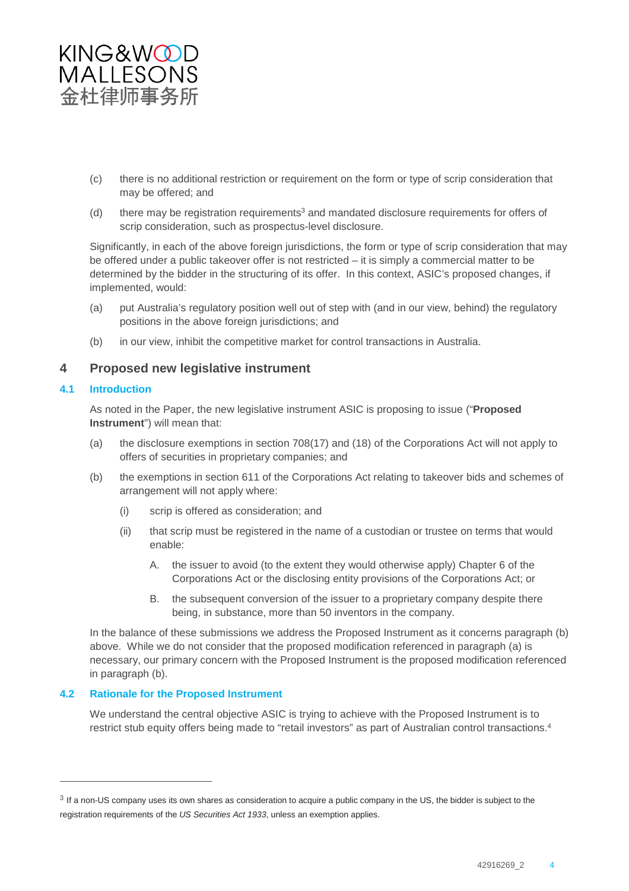

- (c) there is no additional restriction or requirement on the form or type of scrip consideration that may be offered; and
- (d) there may be registration requirements<sup>3</sup> and mandated disclosure requirements for offers of scrip consideration, such as prospectus-level disclosure.

Significantly, in each of the above foreign jurisdictions, the form or type of scrip consideration that may be offered under a public takeover offer is not restricted – it is simply a commercial matter to be determined by the bidder in the structuring of its offer. In this context, ASIC's proposed changes, if implemented, would:

- (a) put Australia's regulatory position well out of step with (and in our view, behind) the regulatory positions in the above foreign jurisdictions; and
- (b) in our view, inhibit the competitive market for control transactions in Australia.

# **4 Proposed new legislative instrument**

#### **4.1 Introduction**

As noted in the Paper, the new legislative instrument ASIC is proposing to issue ("**Proposed Instrument**") will mean that:

- (a) the disclosure exemptions in section 708(17) and (18) of the Corporations Act will not apply to offers of securities in proprietary companies; and
- (b) the exemptions in section 611 of the Corporations Act relating to takeover bids and schemes of arrangement will not apply where:
	- (i) scrip is offered as consideration; and
	- (ii) that scrip must be registered in the name of a custodian or trustee on terms that would enable:
		- A. the issuer to avoid (to the extent they would otherwise apply) Chapter 6 of the Corporations Act or the disclosing entity provisions of the Corporations Act; or
		- B. the subsequent conversion of the issuer to a proprietary company despite there being, in substance, more than 50 inventors in the company.

In the balance of these submissions we address the Proposed Instrument as it concerns paragraph (b) above. While we do not consider that the proposed modification referenced in paragraph (a) is necessary, our primary concern with the Proposed Instrument is the proposed modification referenced in paragraph (b).

## **4.2 Rationale for the Proposed Instrument**

We understand the central objective ASIC is trying to achieve with the Proposed Instrument is to restrict stub equity offers being made to "retail investors" as part of Australian control transactions.<sup>4</sup>

<sup>&</sup>lt;sup>3</sup> If a non-US company uses its own shares as consideration to acquire a public company in the US, the bidder is subject to the registration requirements of the *US Securities Act 1933*, unless an exemption applies.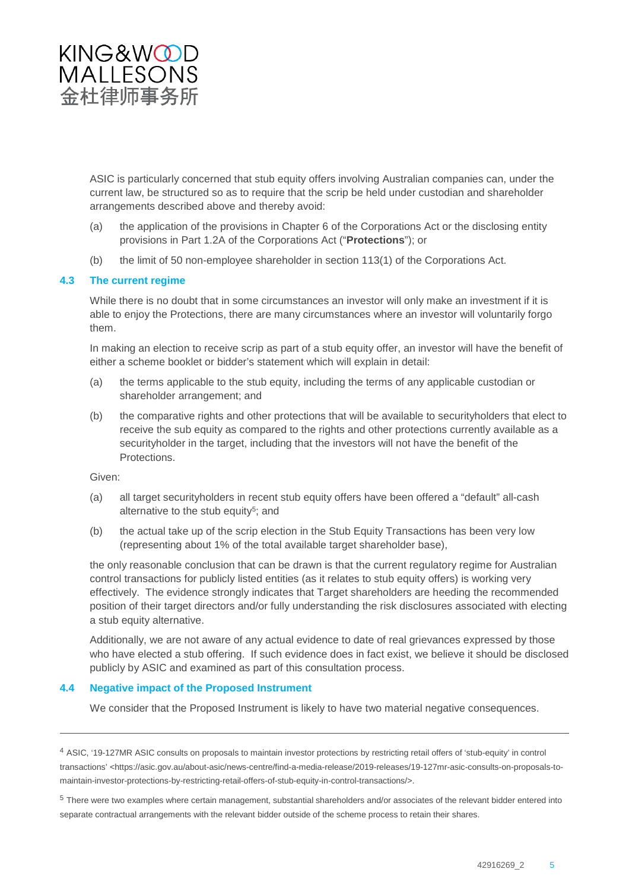

ASIC is particularly concerned that stub equity offers involving Australian companies can, under the current law, be structured so as to require that the scrip be held under custodian and shareholder arrangements described above and thereby avoid:

- (a) the application of the provisions in Chapter 6 of the Corporations Act or the disclosing entity provisions in Part 1.2A of the Corporations Act ("**Protections**"); or
- (b) the limit of 50 non-employee shareholder in section 113(1) of the Corporations Act.

## **4.3 The current regime**

While there is no doubt that in some circumstances an investor will only make an investment if it is able to enjoy the Protections, there are many circumstances where an investor will voluntarily forgo them.

In making an election to receive scrip as part of a stub equity offer, an investor will have the benefit of either a scheme booklet or bidder's statement which will explain in detail:

- (a) the terms applicable to the stub equity, including the terms of any applicable custodian or shareholder arrangement; and
- (b) the comparative rights and other protections that will be available to securityholders that elect to receive the sub equity as compared to the rights and other protections currently available as a securityholder in the target, including that the investors will not have the benefit of the Protections.

Given:

- (a) all target securityholders in recent stub equity offers have been offered a "default" all-cash alternative to the stub equity<sup>5</sup>; and
- (b) the actual take up of the scrip election in the Stub Equity Transactions has been very low (representing about 1% of the total available target shareholder base),

the only reasonable conclusion that can be drawn is that the current regulatory regime for Australian control transactions for publicly listed entities (as it relates to stub equity offers) is working very effectively. The evidence strongly indicates that Target shareholders are heeding the recommended position of their target directors and/or fully understanding the risk disclosures associated with electing a stub equity alternative.

Additionally, we are not aware of any actual evidence to date of real grievances expressed by those who have elected a stub offering. If such evidence does in fact exist, we believe it should be disclosed publicly by ASIC and examined as part of this consultation process.

#### **4.4 Negative impact of the Proposed Instrument**

We consider that the Proposed Instrument is likely to have two material negative consequences.

<sup>4</sup> ASIC, '19-127MR ASIC consults on proposals to maintain investor protections by restricting retail offers of 'stub-equity' in control transactions' <https://asic.gov.au/about-asic/news-centre/find-a-media-release/2019-releases/19-127mr-asic-consults-on-proposals-tomaintain-investor-protections-by-restricting-retail-offers-of-stub-equity-in-control-transactions/>.

<sup>5</sup> There were two examples where certain management, substantial shareholders and/or associates of the relevant bidder entered into separate contractual arrangements with the relevant bidder outside of the scheme process to retain their shares.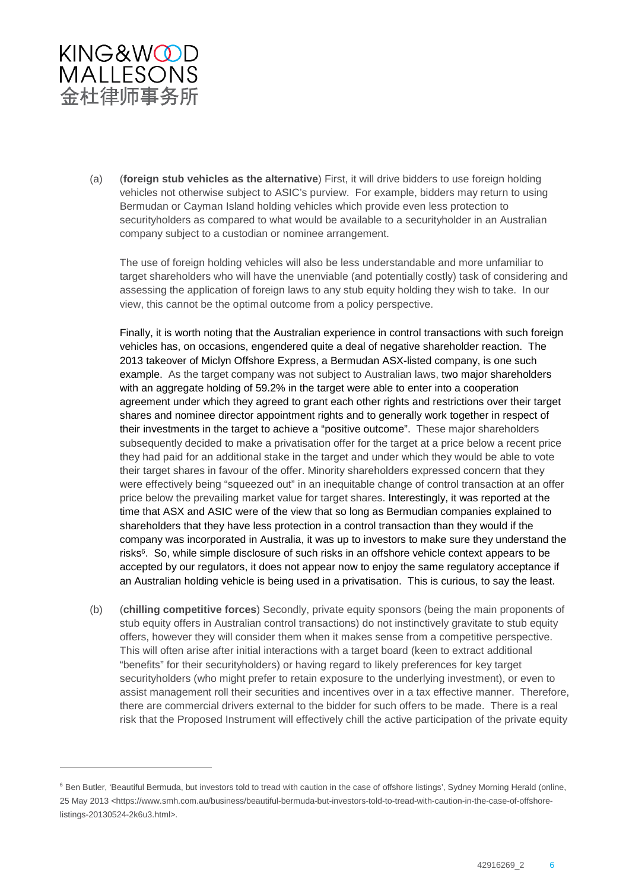

(a) (**foreign stub vehicles as the alternative**) First, it will drive bidders to use foreign holding vehicles not otherwise subject to ASIC's purview. For example, bidders may return to using Bermudan or Cayman Island holding vehicles which provide even less protection to securityholders as compared to what would be available to a securityholder in an Australian company subject to a custodian or nominee arrangement.

The use of foreign holding vehicles will also be less understandable and more unfamiliar to target shareholders who will have the unenviable (and potentially costly) task of considering and assessing the application of foreign laws to any stub equity holding they wish to take. In our view, this cannot be the optimal outcome from a policy perspective.

Finally, it is worth noting that the Australian experience in control transactions with such foreign vehicles has, on occasions, engendered quite a deal of negative shareholder reaction. The 2013 takeover of Miclyn Offshore Express, a Bermudan ASX-listed company, is one such example. As the target company was not subject to Australian laws, two major shareholders with an aggregate holding of 59.2% in the target were able to enter into a cooperation agreement under which they agreed to grant each other rights and restrictions over their target shares and nominee director appointment rights and to generally work together in respect of their investments in the target to achieve a "positive outcome". These major shareholders subsequently decided to make a privatisation offer for the target at a price below a recent price they had paid for an additional stake in the target and under which they would be able to vote their target shares in favour of the offer. Minority shareholders expressed concern that they were effectively being "squeezed out" in an inequitable change of control transaction at an offer price below the prevailing market value for target shares. Interestingly, it was reported at the time that ASX and ASIC were of the view that so long as Bermudian companies explained to shareholders that they have less protection in a control transaction than they would if the company was incorporated in Australia, it was up to investors to make sure they understand the risks<sup>6</sup>. So, while simple disclosure of such risks in an offshore vehicle context appears to be accepted by our regulators, it does not appear now to enjoy the same regulatory acceptance if an Australian holding vehicle is being used in a privatisation. This is curious, to say the least.

(b) (**chilling competitive forces**) Secondly, private equity sponsors (being the main proponents of stub equity offers in Australian control transactions) do not instinctively gravitate to stub equity offers, however they will consider them when it makes sense from a competitive perspective. This will often arise after initial interactions with a target board (keen to extract additional "benefits" for their securityholders) or having regard to likely preferences for key target securityholders (who might prefer to retain exposure to the underlying investment), or even to assist management roll their securities and incentives over in a tax effective manner. Therefore, there are commercial drivers external to the bidder for such offers to be made. There is a real risk that the Proposed Instrument will effectively chill the active participation of the private equity

<sup>&</sup>lt;sup>6</sup> Ben Butler, 'Beautiful Bermuda, but investors told to tread with caution in the case of offshore listings', Sydney Morning Herald (online, 25 May 2013 <https://www.smh.com.au/business/beautiful-bermuda-but-investors-told-to-tread-with-caution-in-the-case-of-offshorelistings-20130524-2k6u3.html>.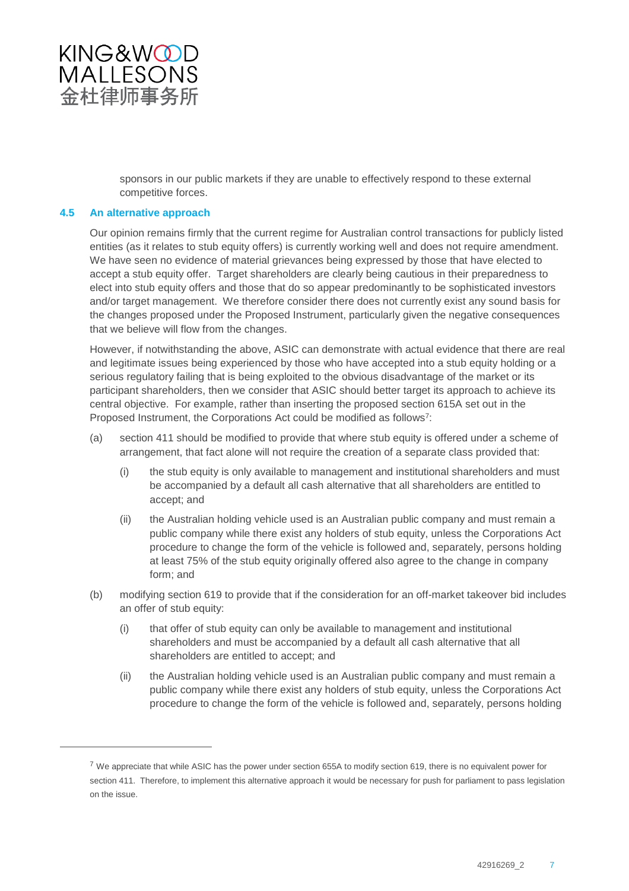

sponsors in our public markets if they are unable to effectively respond to these external competitive forces.

#### **4.5 An alternative approach**

Our opinion remains firmly that the current regime for Australian control transactions for publicly listed entities (as it relates to stub equity offers) is currently working well and does not require amendment. We have seen no evidence of material grievances being expressed by those that have elected to accept a stub equity offer. Target shareholders are clearly being cautious in their preparedness to elect into stub equity offers and those that do so appear predominantly to be sophisticated investors and/or target management. We therefore consider there does not currently exist any sound basis for the changes proposed under the Proposed Instrument, particularly given the negative consequences that we believe will flow from the changes.

However, if notwithstanding the above, ASIC can demonstrate with actual evidence that there are real and legitimate issues being experienced by those who have accepted into a stub equity holding or a serious regulatory failing that is being exploited to the obvious disadvantage of the market or its participant shareholders, then we consider that ASIC should better target its approach to achieve its central objective. For example, rather than inserting the proposed section 615A set out in the Proposed Instrument, the Corporations Act could be modified as follows<sup>7</sup>:

- (a) section 411 should be modified to provide that where stub equity is offered under a scheme of arrangement, that fact alone will not require the creation of a separate class provided that:
	- (i) the stub equity is only available to management and institutional shareholders and must be accompanied by a default all cash alternative that all shareholders are entitled to accept; and
	- (ii) the Australian holding vehicle used is an Australian public company and must remain a public company while there exist any holders of stub equity, unless the Corporations Act procedure to change the form of the vehicle is followed and, separately, persons holding at least 75% of the stub equity originally offered also agree to the change in company form; and
- (b) modifying section 619 to provide that if the consideration for an off-market takeover bid includes an offer of stub equity:
	- (i) that offer of stub equity can only be available to management and institutional shareholders and must be accompanied by a default all cash alternative that all shareholders are entitled to accept; and
	- (ii) the Australian holding vehicle used is an Australian public company and must remain a public company while there exist any holders of stub equity, unless the Corporations Act procedure to change the form of the vehicle is followed and, separately, persons holding

 $7$  We appreciate that while ASIC has the power under section 655A to modify section 619, there is no equivalent power for section 411. Therefore, to implement this alternative approach it would be necessary for push for parliament to pass legislation on the issue.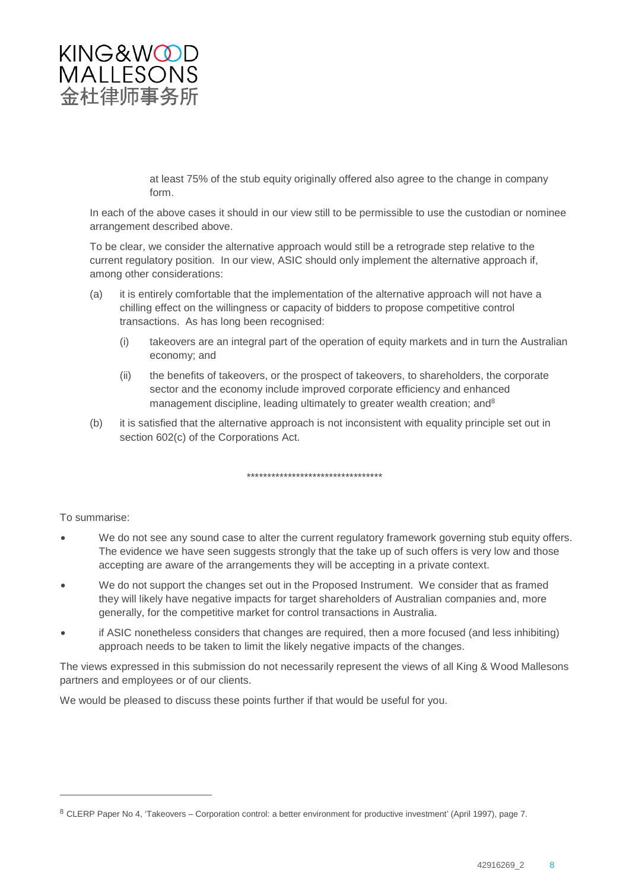

at least 75% of the stub equity originally offered also agree to the change in company form.

In each of the above cases it should in our view still to be permissible to use the custodian or nominee arrangement described above.

To be clear, we consider the alternative approach would still be a retrograde step relative to the current regulatory position. In our view, ASIC should only implement the alternative approach if, among other considerations:

- (a) it is entirely comfortable that the implementation of the alternative approach will not have a chilling effect on the willingness or capacity of bidders to propose competitive control transactions. As has long been recognised:
	- (i) takeovers are an integral part of the operation of equity markets and in turn the Australian economy; and
	- (ii) the benefits of takeovers, or the prospect of takeovers, to shareholders, the corporate sector and the economy include improved corporate efficiency and enhanced management discipline, leading ultimately to greater wealth creation; and<sup>8</sup>
- (b) it is satisfied that the alternative approach is not inconsistent with equality principle set out in section 602(c) of the Corporations Act.

\*\*\*\*\*\*\*\*\*\*\*\*\*\*\*\*\*\*\*\*\*\*\*\*\*\*\*\*\*\*\*\*\*

To summarise:

- We do not see any sound case to alter the current regulatory framework governing stub equity offers. The evidence we have seen suggests strongly that the take up of such offers is very low and those accepting are aware of the arrangements they will be accepting in a private context.
- We do not support the changes set out in the Proposed Instrument. We consider that as framed they will likely have negative impacts for target shareholders of Australian companies and, more generally, for the competitive market for control transactions in Australia.
- if ASIC nonetheless considers that changes are required, then a more focused (and less inhibiting) approach needs to be taken to limit the likely negative impacts of the changes.

The views expressed in this submission do not necessarily represent the views of all King & Wood Mallesons partners and employees or of our clients.

We would be pleased to discuss these points further if that would be useful for you.

<sup>8</sup> CLERP Paper No 4, 'Takeovers – Corporation control: a better environment for productive investment' (April 1997), page 7.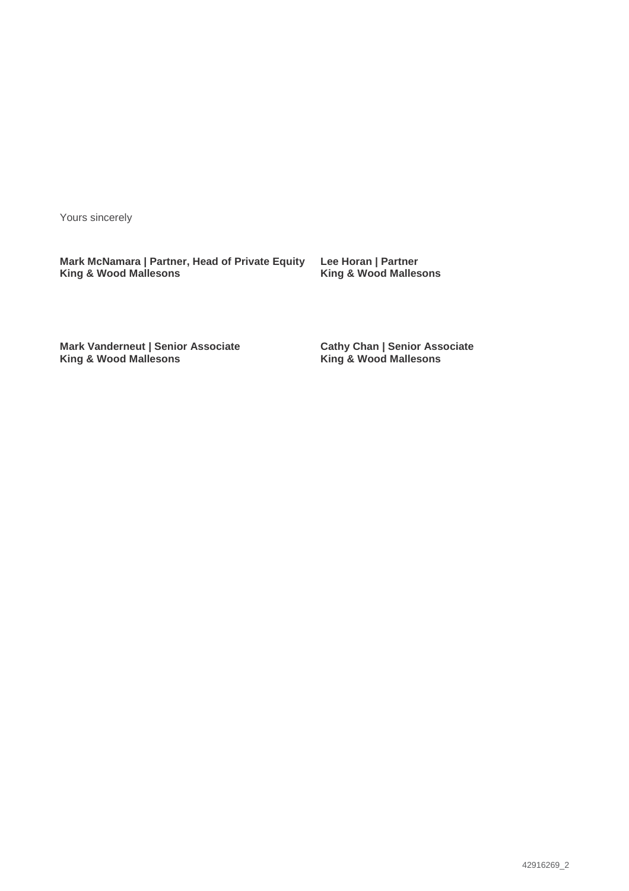Yours sincerely

**Mark McNamara | Partner, Head of Private Equity King & Wood Mallesons**

**Lee Horan | Partner King & Wood Mallesons**

**Mark Vanderneut | Senior Associate King & Wood Mallesons**

**Cathy Chan | Senior Associate King & Wood Mallesons**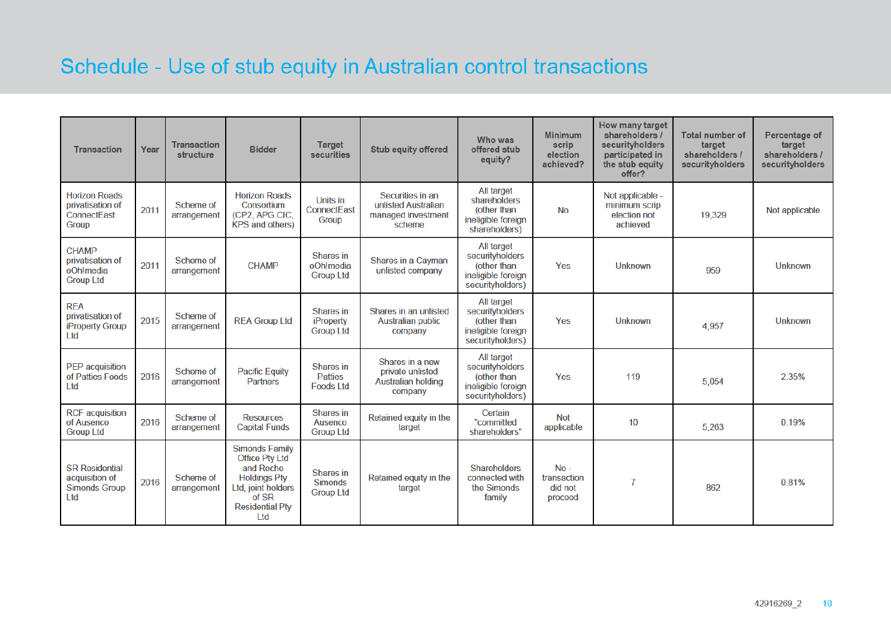# Schedule - Use of stub equity in Australian control transactions

| <b>Transaction</b>                                                      | Year | <b>Transaction</b><br>structure | <b>Bidder</b>                                                                                                                                                  | <b>Target</b><br>securities                       | <b>Stub equity offered</b>                                                  | Who was<br>offered stub<br>equity?                                                            | <b>Minimum</b><br>scrip<br>election<br>achieved? | <b>How many target</b><br>shareholders /<br>securityholders<br>participated in<br>the stub equity<br>offer? | <b>Total number of</b><br>target<br>shareholders /<br>securityholders | Percentage of<br>target<br>shareholders /<br>securityholders |
|-------------------------------------------------------------------------|------|---------------------------------|----------------------------------------------------------------------------------------------------------------------------------------------------------------|---------------------------------------------------|-----------------------------------------------------------------------------|-----------------------------------------------------------------------------------------------|--------------------------------------------------|-------------------------------------------------------------------------------------------------------------|-----------------------------------------------------------------------|--------------------------------------------------------------|
| <b>Horizon Roads</b><br>privatisation of<br><b>ConnectEast</b><br>Group | 2011 | Scheme of<br>arrangement        | <b>Horizon Roads</b><br>Consortium<br>(CP2, APG CIC,<br><b>KPS and others)</b>                                                                                 | Units in<br><b>ConnectEast</b><br><b>Group</b>    | Securities in an<br>unlisted Australian<br>managed investment<br>scheme     | <b>All target</b><br>shareholders<br>(other than<br>ineligible foreign<br>shareholders)       | <b>No</b>                                        | Not applicable -<br>minimum scrip<br>election not<br>achieved                                               | 19,329                                                                | Not applicable                                               |
| <b>CHAMP</b><br>privatisation of<br>oOh!media<br><b>Group Ltd</b>       | 2011 | Scheme of<br>arrangement        | <b>CHAMP</b>                                                                                                                                                   | Shares in<br>oOh!media<br><b>Group Ltd</b>        | <b>Shares in a Cayman</b><br>unlisted company                               | <b>All target</b><br>securityholders<br>(other than<br>ineligible foreign<br>securityholders) | Yes                                              | <b>Unknown</b>                                                                                              | 959                                                                   | <b>Unknown</b>                                               |
| <b>REA</b><br>privatisation of<br><b>iProperty Group</b><br>Ltd         | 2015 | Scheme of<br>arrangement        | <b>REA Group Ltd</b>                                                                                                                                           | <b>Shares</b> in<br>iProperty<br><b>Group Ltd</b> | Shares in an unlisted<br><b>Australian public</b><br>company                | All target<br>securityholders<br>(other than<br>ineligible foreign<br>securityholders)        | Yes                                              | <b>Unknown</b>                                                                                              | 4,957                                                                 | <b>Unknown</b>                                               |
| <b>PEP</b> acquisition<br>of Patties Foods<br>Ltd                       | 2016 | Scheme of<br>arrangement        | <b>Pacific Equity</b><br><b>Partners</b>                                                                                                                       | Shares in<br><b>Patties</b><br><b>Foods Ltd</b>   | Shares in a new<br>private unlisted<br><b>Australian holding</b><br>company | All target<br>securityholders<br>(other than<br>ineligible foreign<br>securityholders)        | Yes                                              | 119                                                                                                         | 5.054                                                                 | 2.35%                                                        |
| <b>RCF</b> acquisition<br>of Ausenco<br><b>Group Ltd</b>                | 2016 | Scheme of<br>arrangement        | <b>Resources</b><br><b>Capital Funds</b>                                                                                                                       | Shares in<br>Ausenco<br><b>Group Ltd</b>          | Retained equity in the<br>target                                            | Certain<br>"committed<br>shareholders"                                                        | <b>Not</b><br>applicable                         | 10                                                                                                          | 5,263                                                                 | 0.19%                                                        |
| <b>SR Residential</b><br>acquisition of<br><b>Simonds Group</b><br>Ltd  | 2016 | Scheme of<br>arrangement        | <b>Simonds Family</b><br><b>Office Ptv Ltd</b><br>and Roche<br><b>Holdings Pty</b><br>Ltd. joint holders<br>of SR<br><b>Residential Pty</b><br>L <sub>td</sub> | Shares in<br><b>Simonds</b><br><b>Group Ltd</b>   | Retained equity in the<br>target                                            | <b>Shareholders</b><br>connected with<br>the Simonds<br>family                                | $No -$<br>transaction<br>did not<br>proceed      | $\overline{7}$                                                                                              | 862                                                                   | 0.81%                                                        |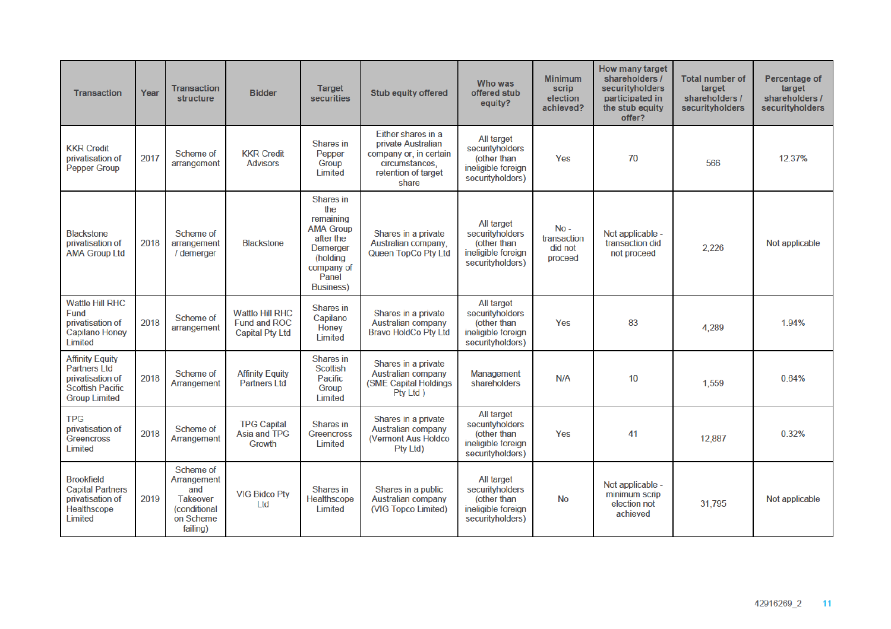| <b>Transaction</b>                                                                                                   | Year | <b>Transaction</b><br>structure                                                                    | <b>Bidder</b>                                                           | <b>Target</b><br>securities                                                                                                               | <b>Stub equity offered</b>                                                                                           | Who was<br>offered stub<br>equity?                                                            | <b>Minimum</b><br>scrip<br>election<br>achieved? | How many target<br>shareholders /<br>securityholders<br>participated in<br>the stub equity<br>offer? | <b>Total number of</b><br>target<br>shareholders /<br>securityholders | Percentage of<br>target<br>shareholders /<br>securityholders |
|----------------------------------------------------------------------------------------------------------------------|------|----------------------------------------------------------------------------------------------------|-------------------------------------------------------------------------|-------------------------------------------------------------------------------------------------------------------------------------------|----------------------------------------------------------------------------------------------------------------------|-----------------------------------------------------------------------------------------------|--------------------------------------------------|------------------------------------------------------------------------------------------------------|-----------------------------------------------------------------------|--------------------------------------------------------------|
| <b>KKR Credit</b><br>privatisation of<br><b>Pepper Group</b>                                                         | 2017 | Scheme of<br>arrangement                                                                           | <b>KKR Credit</b><br><b>Advisors</b>                                    | Shares in<br>Pepper<br>Group<br>Limited                                                                                                   | Either shares in a<br>private Australian<br>company or, in certain<br>circumstances.<br>retention of target<br>share | All target<br>securityholders<br>(other than<br>ineligible foreign<br>securityholders)        | Yes                                              | 70                                                                                                   | 566                                                                   | 12.37%                                                       |
| <b>Blackstone</b><br>privatisation of<br><b>AMA Group Ltd</b>                                                        | 2018 | Scheme of<br>arrangement<br>/ demerger                                                             | <b>Blackstone</b>                                                       | Shares in<br>the<br>remaining<br><b>AMA Group</b><br>after the<br><b>Demerger</b><br>(holding<br>company of<br>Panel<br><b>Business</b> ) | Shares in a private<br>Australian company.<br>Queen TopCo Pty Ltd                                                    | All target<br>securityholders<br>(other than<br>ineligible foreign<br>securityholders)        | $No -$<br>transaction<br>did not<br>proceed      | Not applicable -<br>transaction did<br>not proceed                                                   | 2,226                                                                 | Not applicable                                               |
| <b>Wattle Hill RHC</b><br>Fund<br>privatisation of<br><b>Capilano Honey</b><br>Limited                               | 2018 | Scheme of<br>arrangement                                                                           | <b>Wattle Hill RHC</b><br><b>Fund and ROC</b><br><b>Capital Pty Ltd</b> | Shares in<br>Capilano<br>Honey<br>Limited                                                                                                 | Shares in a private<br><b>Australian company</b><br><b>Bravo HoldCo Pty Ltd</b>                                      | All target<br>securityholders<br>(other than<br>ineligible foreign<br>securityholders)        | Yes                                              | 83                                                                                                   | 4.289                                                                 | 1.94%                                                        |
| <b>Affinity Equity</b><br><b>Partners Ltd</b><br>privatisation of<br><b>Scottish Pacific</b><br><b>Group Limited</b> | 2018 | <b>Scheme of</b><br>Arrangement                                                                    | <b>Affinity Equity</b><br><b>Partners Ltd</b>                           | <b>Shares</b> in<br><b>Scottish</b><br>Pacific<br>Group<br>Limited                                                                        | Shares in a private<br><b>Australian company</b><br>(SME Capital Holdings<br>Pty Ltd )                               | <b>Management</b><br>shareholders                                                             | N/A                                              | 10                                                                                                   | 1,559                                                                 | 0.64%                                                        |
| <b>TPG</b><br>privatisation of<br><b>Greencross</b><br>Limited                                                       | 2018 | Scheme of<br>Arrangement                                                                           | <b>TPG Capital</b><br><b>Asia and TPG</b><br>Growth                     | Shares in<br><b>Greencross</b><br>Limited                                                                                                 | Shares in a private<br><b>Australian company</b><br>(Vermont Aus Holdco)<br>Pty Ltd)                                 | <b>All target</b><br>securityholders<br>(other than<br>ineligible foreign<br>securityholders) | Yes                                              | 41                                                                                                   | 12,887                                                                | 0.32%                                                        |
| <b>Brookfield</b><br><b>Capital Partners</b><br>privatisation of<br>Healthscope<br>Limited                           | 2019 | Scheme of<br>Arrangement<br>and<br><b>Takeover</b><br><i>(conditional</i><br>on Scheme<br>failing) | <b>VIG Bidco Pty</b><br>Ltd                                             | Shares in<br>Healthscope<br>Limited                                                                                                       | Shares in a public<br><b>Australian company</b><br>(VIG Topco Limited)                                               | <b>All target</b><br>securityholders<br>(other than<br>ineligible foreign<br>securityholders) | <b>No</b>                                        | Not applicable -<br>minimum scrip<br>election not<br>achieved                                        | 31,795                                                                | Not applicable                                               |